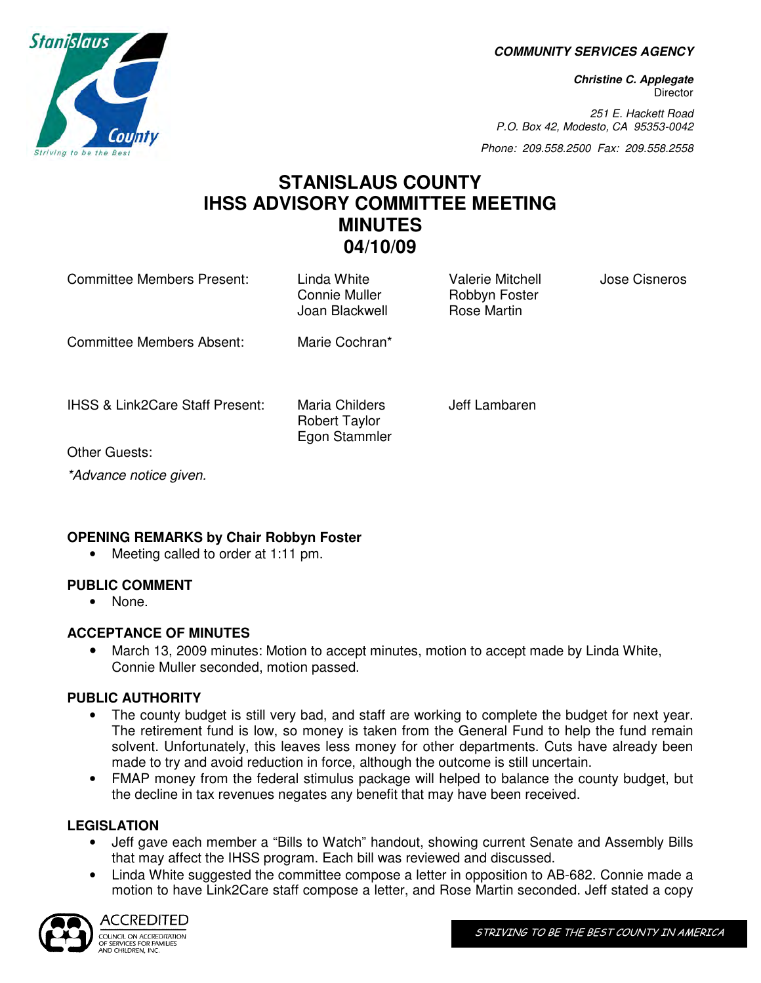**COMMUNITY SERVICES AGENCY** 

**Christine C. Applegate Director** 

251 E. Hackett Road P.O. Box 42, Modesto, CA 95353-0042

Phone: 209.558.2500 Fax: 209.558.2558

### **STANISLAUS COUNTY IHSS ADVISORY COMMITTEE MEETING MINUTES 04/10/09**

| Committee Members Present:                 | Linda White<br>Connie Muller<br>Joan Blackwell          | <b>Valerie Mitchell</b><br>Robbyn Foster<br>Rose Martin | Jose Cisneros |
|--------------------------------------------|---------------------------------------------------------|---------------------------------------------------------|---------------|
| Committee Members Absent:                  | Marie Cochran*                                          |                                                         |               |
| <b>IHSS &amp; Link2Care Staff Present:</b> | Maria Childers<br><b>Robert Taylor</b><br>Egon Stammler | Jeff Lambaren                                           |               |
| Other Guests:                              |                                                         |                                                         |               |
| *Advance notice given.                     |                                                         |                                                         |               |

### **OPENING REMARKS by Chair Robbyn Foster**

• Meeting called to order at 1:11 pm.

### **PUBLIC COMMENT**

• None.

### **ACCEPTANCE OF MINUTES**

• March 13, 2009 minutes: Motion to accept minutes, motion to accept made by Linda White, Connie Muller seconded, motion passed.

### **PUBLIC AUTHORITY**

- The county budget is still very bad, and staff are working to complete the budget for next year. The retirement fund is low, so money is taken from the General Fund to help the fund remain solvent. Unfortunately, this leaves less money for other departments. Cuts have already been made to try and avoid reduction in force, although the outcome is still uncertain.
- FMAP money from the federal stimulus package will helped to balance the county budget, but the decline in tax revenues negates any benefit that may have been received.

### **LEGISLATION**

- Jeff gave each member a "Bills to Watch" handout, showing current Senate and Assembly Bills that may affect the IHSS program. Each bill was reviewed and discussed.
- Linda White suggested the committee compose a letter in opposition to AB-682. Connie made a motion to have Link2Care staff compose a letter, and Rose Martin seconded. Jeff stated a copy



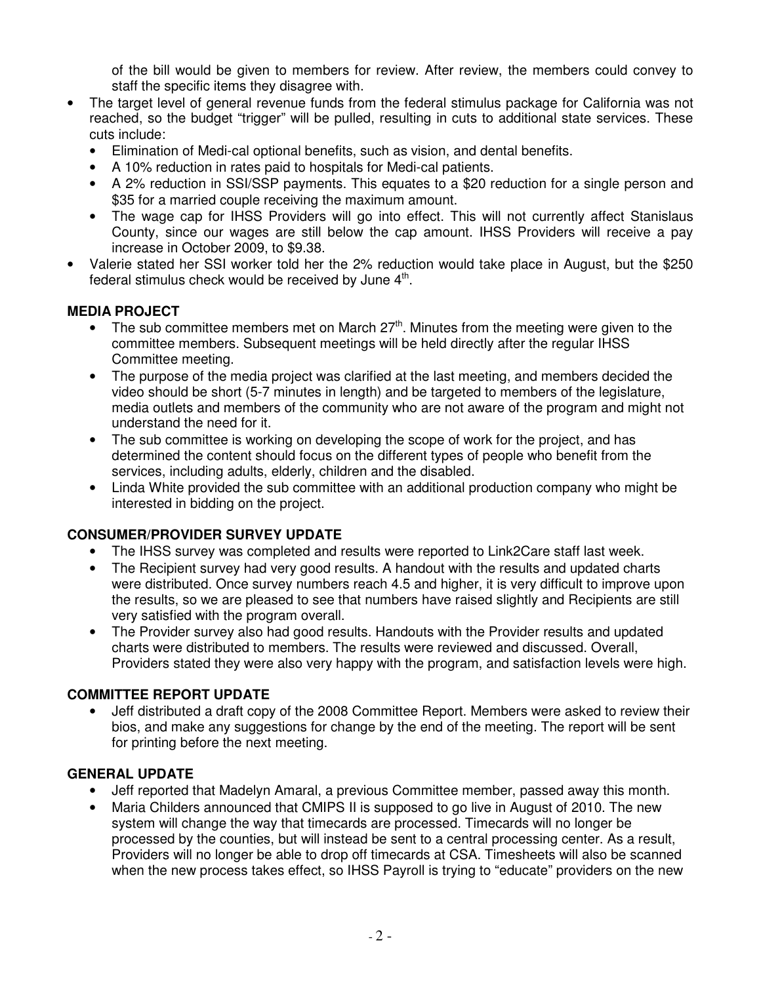of the bill would be given to members for review. After review, the members could convey to staff the specific items they disagree with.

- The target level of general revenue funds from the federal stimulus package for California was not reached, so the budget "trigger" will be pulled, resulting in cuts to additional state services. These cuts include:
	- Elimination of Medi-cal optional benefits, such as vision, and dental benefits.
	- A 10% reduction in rates paid to hospitals for Medi-cal patients.
	- A 2% reduction in SSI/SSP payments. This equates to a \$20 reduction for a single person and \$35 for a married couple receiving the maximum amount.
	- The wage cap for IHSS Providers will go into effect. This will not currently affect Stanislaus County, since our wages are still below the cap amount. IHSS Providers will receive a pay increase in October 2009, to \$9.38.
- Valerie stated her SSI worker told her the 2% reduction would take place in August, but the \$250 federal stimulus check would be received by June  $4^{\text{th}}$ .

### **MEDIA PROJECT**

- The sub committee members met on March 27<sup>th</sup>. Minutes from the meeting were given to the committee members. Subsequent meetings will be held directly after the regular IHSS Committee meeting.
- The purpose of the media project was clarified at the last meeting, and members decided the video should be short (5-7 minutes in length) and be targeted to members of the legislature, media outlets and members of the community who are not aware of the program and might not understand the need for it.
- The sub committee is working on developing the scope of work for the project, and has determined the content should focus on the different types of people who benefit from the services, including adults, elderly, children and the disabled.
- Linda White provided the sub committee with an additional production company who might be interested in bidding on the project.

### **CONSUMER/PROVIDER SURVEY UPDATE**

- The IHSS survey was completed and results were reported to Link2Care staff last week.
- The Recipient survey had very good results. A handout with the results and updated charts were distributed. Once survey numbers reach 4.5 and higher, it is very difficult to improve upon the results, so we are pleased to see that numbers have raised slightly and Recipients are still very satisfied with the program overall.
- The Provider survey also had good results. Handouts with the Provider results and updated charts were distributed to members. The results were reviewed and discussed. Overall, Providers stated they were also very happy with the program, and satisfaction levels were high.

### **COMMITTEE REPORT UPDATE**

• Jeff distributed a draft copy of the 2008 Committee Report. Members were asked to review their bios, and make any suggestions for change by the end of the meeting. The report will be sent for printing before the next meeting.

### **GENERAL UPDATE**

- Jeff reported that Madelyn Amaral, a previous Committee member, passed away this month.
- Maria Childers announced that CMIPS II is supposed to go live in August of 2010. The new system will change the way that timecards are processed. Timecards will no longer be processed by the counties, but will instead be sent to a central processing center. As a result, Providers will no longer be able to drop off timecards at CSA. Timesheets will also be scanned when the new process takes effect, so IHSS Payroll is trying to "educate" providers on the new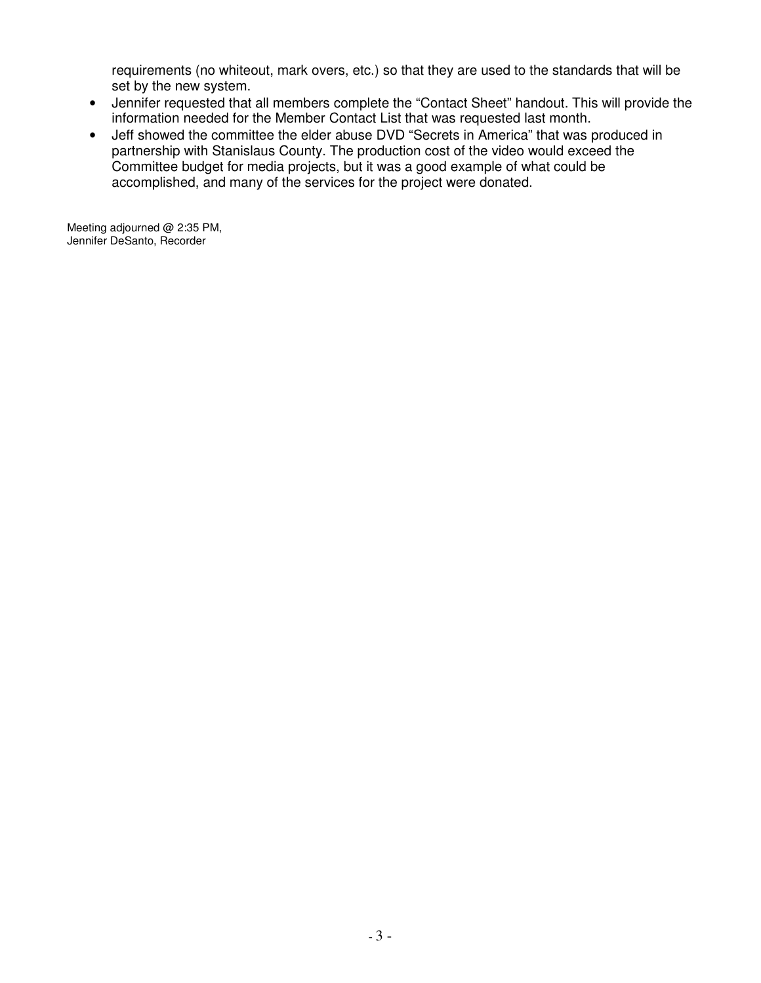requirements (no whiteout, mark overs, etc.) so that they are used to the standards that will be set by the new system.

- Jennifer requested that all members complete the "Contact Sheet" handout. This will provide the information needed for the Member Contact List that was requested last month.
- Jeff showed the committee the elder abuse DVD "Secrets in America" that was produced in partnership with Stanislaus County. The production cost of the video would exceed the Committee budget for media projects, but it was a good example of what could be accomplished, and many of the services for the project were donated.

Meeting adjourned @ 2:35 PM, Jennifer DeSanto, Recorder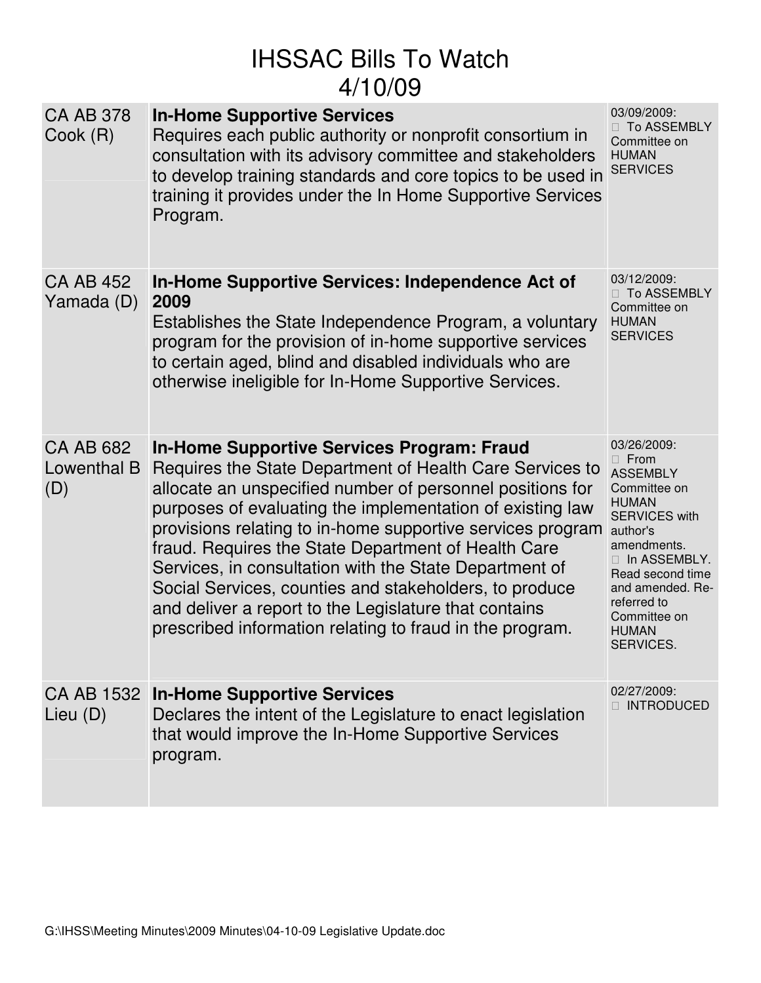# IHSSAC Bills To Watch 4/10/09

| <b>CA AB 378</b><br>Cook (R)           | <b>In-Home Supportive Services</b><br>Requires each public authority or nonprofit consortium in<br>consultation with its advisory committee and stakeholders<br>to develop training standards and core topics to be used in<br>training it provides under the In Home Supportive Services<br>Program.                                                                                                                                                                                                                                                                                                 | 03/09/2009:<br><b>To ASSEMBLY</b><br>Committee on<br><b>HUMAN</b><br><b>SERVICES</b>                                                                                                                                                          |
|----------------------------------------|-------------------------------------------------------------------------------------------------------------------------------------------------------------------------------------------------------------------------------------------------------------------------------------------------------------------------------------------------------------------------------------------------------------------------------------------------------------------------------------------------------------------------------------------------------------------------------------------------------|-----------------------------------------------------------------------------------------------------------------------------------------------------------------------------------------------------------------------------------------------|
| <b>CA AB 452</b><br>Yamada (D)         | In-Home Supportive Services: Independence Act of<br>2009<br>Establishes the State Independence Program, a voluntary<br>program for the provision of in-home supportive services<br>to certain aged, blind and disabled individuals who are<br>otherwise ineligible for In-Home Supportive Services.                                                                                                                                                                                                                                                                                                   | 03/12/2009:<br><b>To ASSEMBLY</b><br>Committee on<br><b>HUMAN</b><br><b>SERVICES</b>                                                                                                                                                          |
| <b>CA AB 682</b><br>Lowenthal B<br>(D) | <b>In-Home Supportive Services Program: Fraud</b><br>Requires the State Department of Health Care Services to<br>allocate an unspecified number of personnel positions for<br>purposes of evaluating the implementation of existing law<br>provisions relating to in-home supportive services program<br>fraud. Requires the State Department of Health Care<br>Services, in consultation with the State Department of<br>Social Services, counties and stakeholders, to produce<br>and deliver a report to the Legislature that contains<br>prescribed information relating to fraud in the program. | 03/26/2009:<br>From<br><b>ASSEMBLY</b><br>Committee on<br><b>HUMAN</b><br><b>SERVICES with</b><br>author's<br>amendments.<br>In ASSEMBLY.<br>Read second time<br>and amended. Re-<br>referred to<br>Committee on<br><b>HUMAN</b><br>SERVICES. |
| Lieu (D)                               | CA AB 1532 In-Home Supportive Services<br>Declares the intent of the Legislature to enact legislation<br>that would improve the In-Home Supportive Services<br>program.                                                                                                                                                                                                                                                                                                                                                                                                                               | 02/27/2009:<br><b>INTRODUCED</b>                                                                                                                                                                                                              |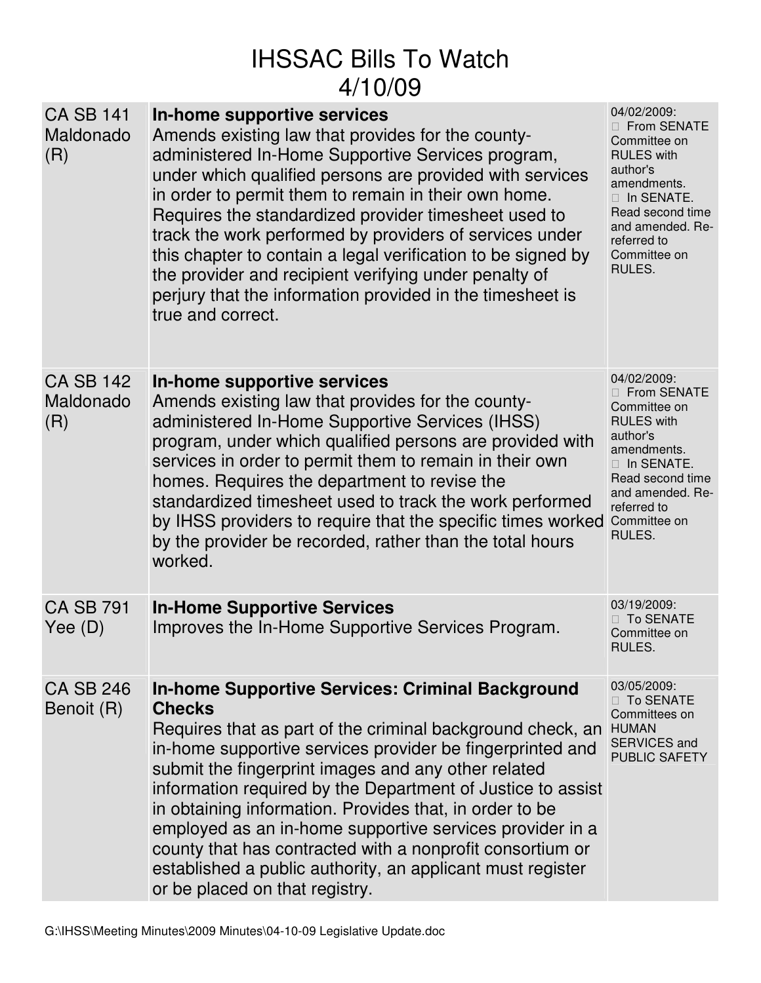# IHSSAC Bills To Watch 4/10/09

| <b>CA SB 141</b><br>Maldonado<br>(R) | In-home supportive services<br>Amends existing law that provides for the county-<br>administered In-Home Supportive Services program,<br>under which qualified persons are provided with services<br>in order to permit them to remain in their own home.<br>Requires the standardized provider timesheet used to<br>track the work performed by providers of services under<br>this chapter to contain a legal verification to be signed by<br>the provider and recipient verifying under penalty of<br>perjury that the information provided in the timesheet is<br>true and correct.                       | 04/02/2009:<br><b>From SENATE</b><br>Committee on<br><b>RULES</b> with<br>author's<br>amendments.<br>In SENATE.<br>Read second time<br>and amended. Re-<br>referred to<br>Committee on<br>RULES. |
|--------------------------------------|---------------------------------------------------------------------------------------------------------------------------------------------------------------------------------------------------------------------------------------------------------------------------------------------------------------------------------------------------------------------------------------------------------------------------------------------------------------------------------------------------------------------------------------------------------------------------------------------------------------|--------------------------------------------------------------------------------------------------------------------------------------------------------------------------------------------------|
| <b>CA SB 142</b><br>Maldonado<br>(R) | In-home supportive services<br>Amends existing law that provides for the county-<br>administered In-Home Supportive Services (IHSS)<br>program, under which qualified persons are provided with<br>services in order to permit them to remain in their own<br>homes. Requires the department to revise the<br>standardized timesheet used to track the work performed<br>by IHSS providers to require that the specific times worked<br>by the provider be recorded, rather than the total hours<br>worked.                                                                                                   | 04/02/2009:<br><b>From SENATE</b><br>Committee on<br><b>RULES</b> with<br>author's<br>amendments.<br>In SENATE.<br>Read second time<br>and amended. Re-<br>referred to<br>Committee on<br>RULES. |
| <b>CA SB 791</b><br>Yee $(D)$        | <b>In-Home Supportive Services</b><br>Improves the In-Home Supportive Services Program.                                                                                                                                                                                                                                                                                                                                                                                                                                                                                                                       | 03/19/2009:<br><b>To SENATE</b><br>Committee on<br>RULES.                                                                                                                                        |
| <b>CA SB 246</b><br>Benoit (R)       | <b>In-home Supportive Services: Criminal Background</b><br><b>Checks</b><br>Requires that as part of the criminal background check, an<br>in-home supportive services provider be fingerprinted and<br>submit the fingerprint images and any other related<br>information required by the Department of Justice to assist<br>in obtaining information. Provides that, in order to be<br>employed as an in-home supportive services provider in a<br>county that has contracted with a nonprofit consortium or<br>established a public authority, an applicant must register<br>or be placed on that registry. | 03/05/2009:<br><b>To SENATE</b><br>Committees on<br><b>HUMAN</b><br>SERVICES and<br>PUBLIC SAFETY                                                                                                |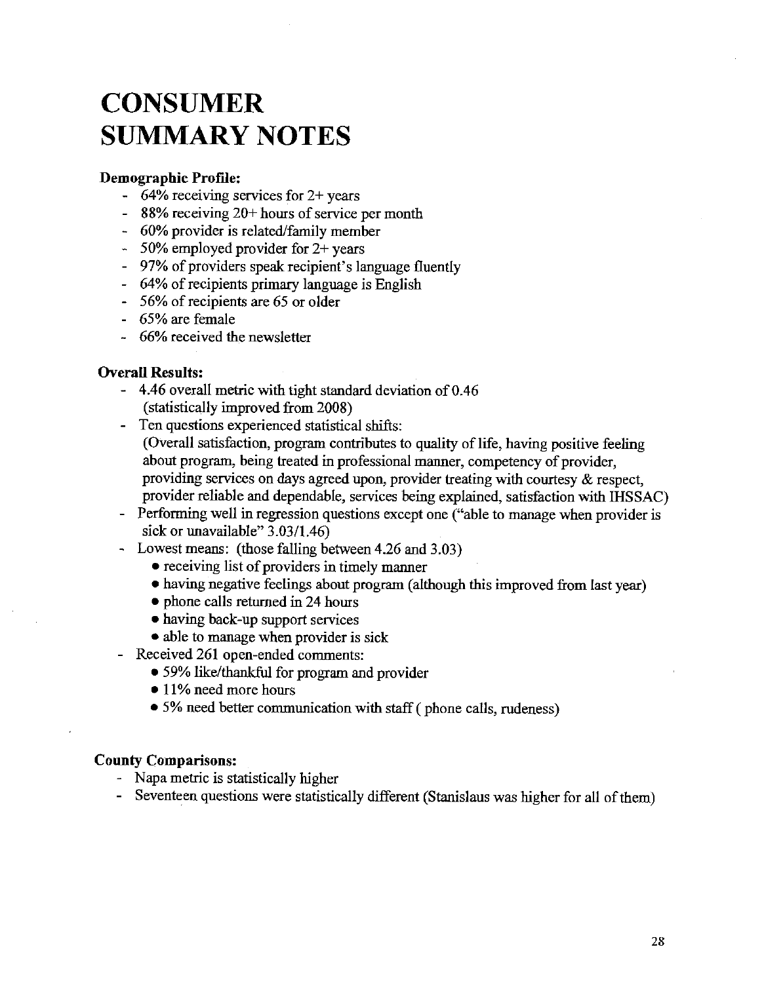# **CONSUMER SUMMARY NOTES**

### Demographic Profile:

- $-64\%$  receiving services for 2+ years
- 88% receiving  $20+$  hours of service per month
- 60% provider is related/family member
- $-50\%$  employed provider for 2+ years
- 97% of providers speak recipient's language fluently
- 64% of recipients primary language is English
- 56% of recipients are 65 or older
- 65% are female
- 66% received the newsletter

### **Overall Results:**

- 4.46 overall metric with tight standard deviation of 0.46 (statistically improved from 2008)
- Ten questions experienced statistical shifts: (Overall satisfaction, program contributes to quality of life, having positive feeling about program, being treated in professional manner, competency of provider, providing services on days agreed upon, provider treating with courtesy  $\&$  respect, provider reliable and dependable, services being explained, satisfaction with IHSSAC)
- Performing well in regression questions except one ("able to manage when provider is sick or unavailable" 3.03/1.46)
- Lowest means: (those falling between 4.26 and 3.03)
	- receiving list of providers in timely manner
	- having negative feelings about program (although this improved from last year)
	- phone calls returned in 24 hours
	- having back-up support services
	- able to manage when provider is sick
- Received 261 open-ended comments:
	- 59% like/thankful for program and provider
	- 11% need more hours
	- 5% need better communication with staff (phone calls, rudeness)

#### **County Comparisons:**

- Napa metric is statistically higher
- Seventeen questions were statistically different (Stanislaus was higher for all of them)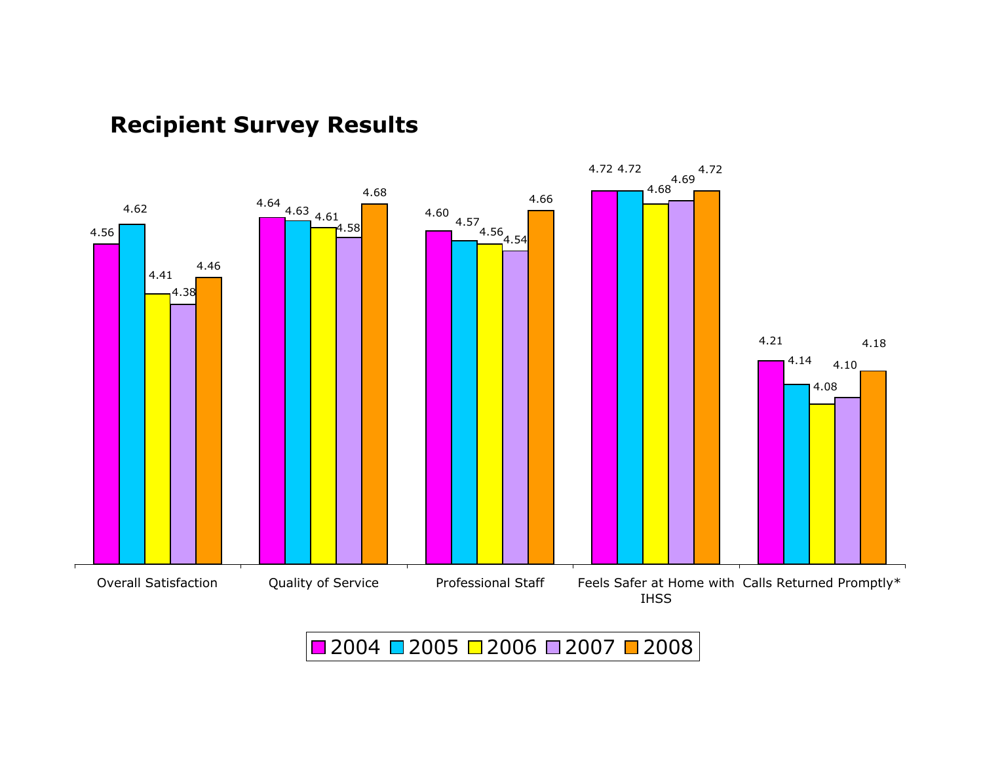

## Recipient Survey Results

2004 <mark>□</mark> 2005 □ 2006 □ 2007 ■ 2008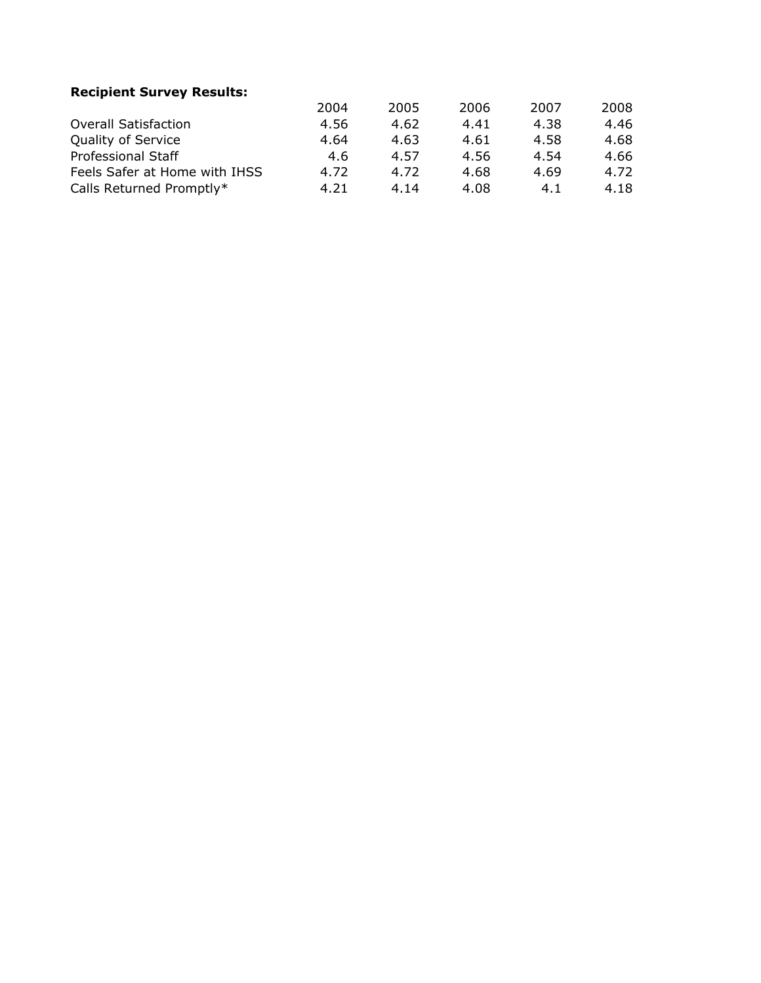### Recipient Survey Results:

|                               | 2004 | 2005 | 2006 | 2007 | 2008 |
|-------------------------------|------|------|------|------|------|
| <b>Overall Satisfaction</b>   | 4.56 | 4.62 | 4.41 | 4.38 | 4.46 |
| <b>Quality of Service</b>     | 4.64 | 4.63 | 4.61 | 4.58 | 4.68 |
| Professional Staff            | 4.6  | 4.57 | 4.56 | 4.54 | 4.66 |
| Feels Safer at Home with IHSS | 4.72 | 4.72 | 4.68 | 4.69 | 4.72 |
| Calls Returned Promptly*      | 4.21 | 4.14 | 4.08 | 4.1  | 4.18 |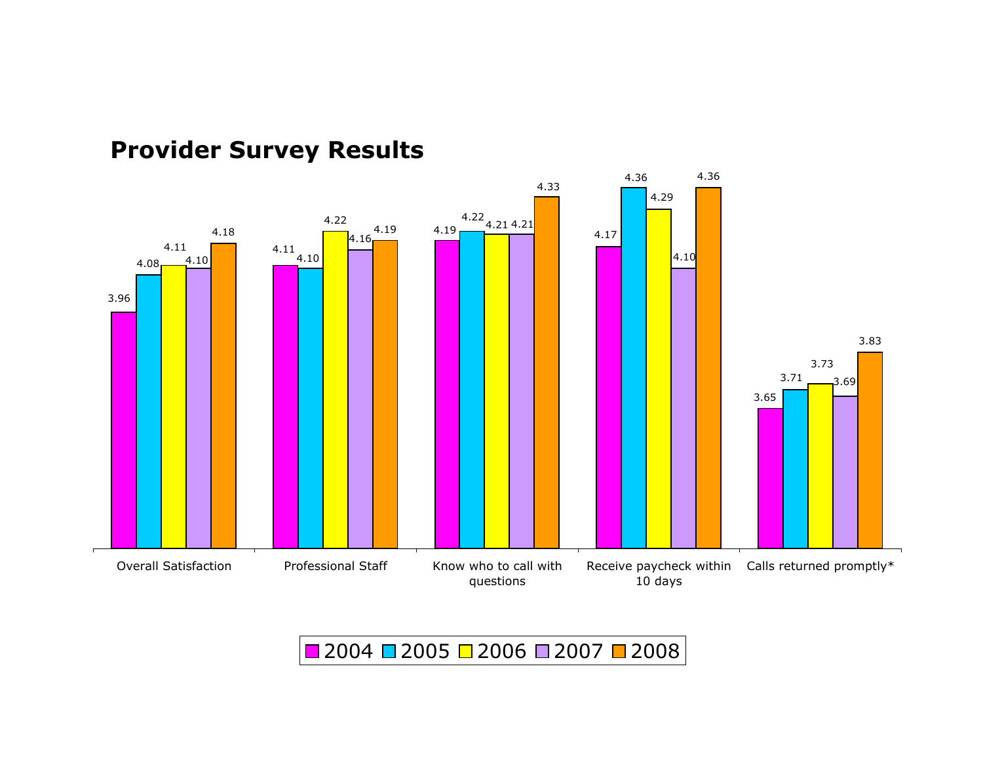

## Provider Survey Results

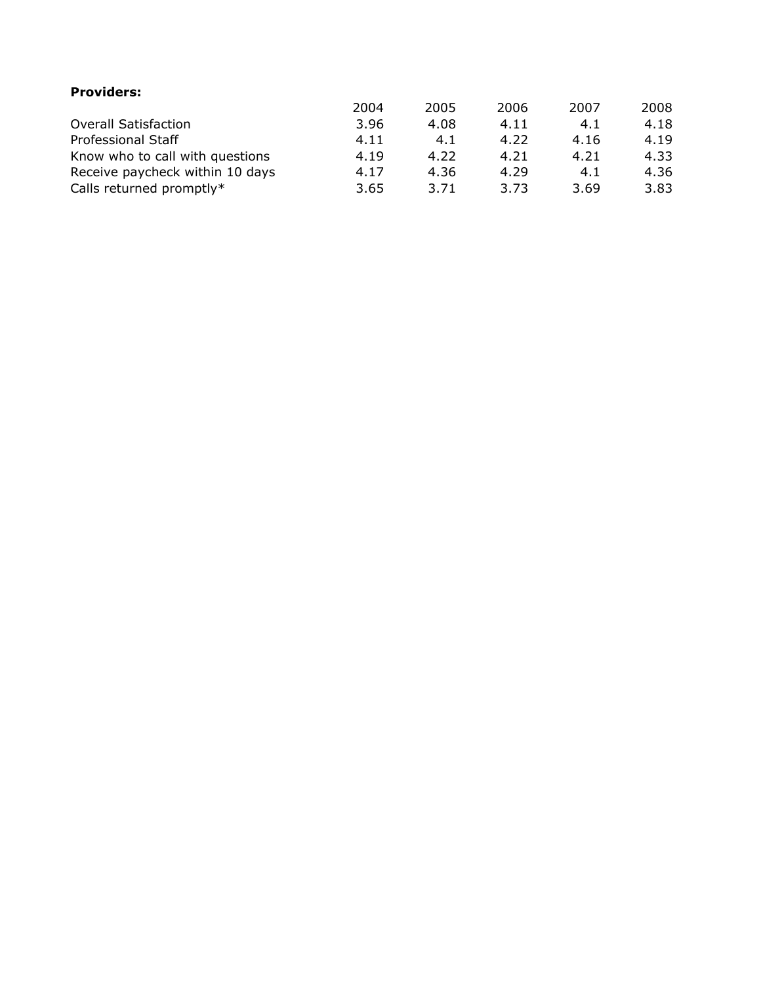| <b>Providers:</b>               |      |      |      |      |      |
|---------------------------------|------|------|------|------|------|
|                                 | 2004 | 2005 | 2006 | 2007 | 2008 |
| <b>Overall Satisfaction</b>     | 3.96 | 4.08 | 4.11 | 4.1  | 4.18 |
| <b>Professional Staff</b>       | 4.11 | 4.1  | 4.22 | 4.16 | 4.19 |
| Know who to call with questions | 4.19 | 4.22 | 4.21 | 4.21 | 4.33 |
| Receive paycheck within 10 days | 4.17 | 4.36 | 4.29 | 4.1  | 4.36 |
| Calls returned promptly*        | 3.65 | 3.71 | 3.73 | 3.69 | 3.83 |